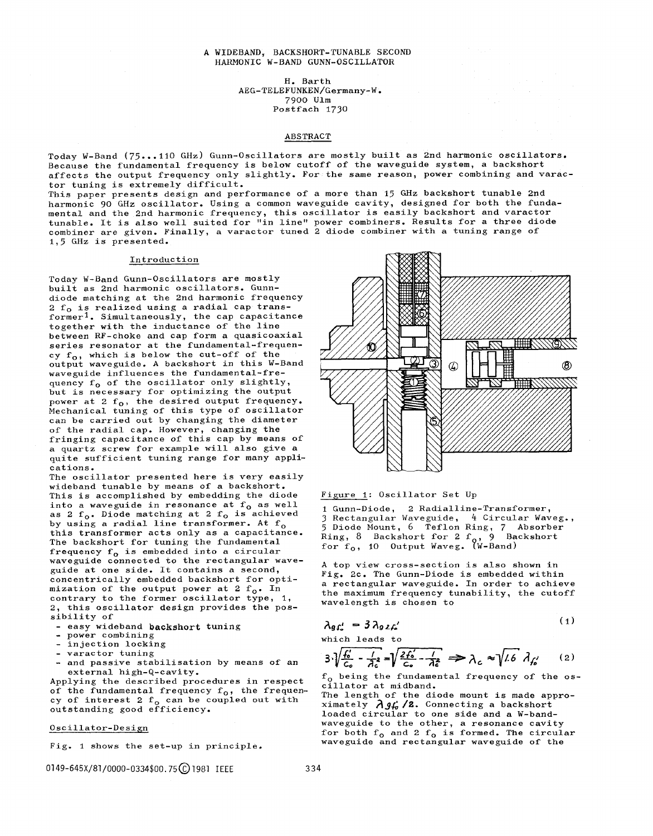### A WIDEBAND, BACKSHORT-TUNABLE SECOND HARMONIC W-BAND GUNN-OSCILLATOR

H. Barth AEG-TELEFUNKEN/Germany-W. 7900 Ulm Postfach 1730

## ABSTRACT

Today W-Band (75...110 GHz) Gunn-Oscillators are mostly built as 2nd harmonic oscillators. Because the fundamental frequency is below cutoff of the waveguide system, a backshort affects the output frequency only slightly. For the same reason, power combining and varactor tuning is extremely difficult.

This paper presents design and performance of a more than 15 GHz backshort tunable 2nd harmonic 90 GHz oscillator. Using a common waveguide cavity, designed for both the fundamental and the 2nd harmonic frequency, this oscillator is easily backshort and varactor tunable. It is also well suited for "in line" power combiners. Results for a three diode combiner are given. Finally, a varactor tuned  $2$  diode combiner with a tuning range of  $1,5$  GHz is presented.

#### Introduction

Today W-Band Gunn-Oscillators are mostly built as 2nd harmonic oscillators. Gunndiode matching at the 2nd harmonic frequency  $2 f<sub>o</sub>$  is realized using a radial cap transformer<sup>1</sup>. Simultaneously, the cap capacitance together with the inductance of the line between RF-choke and cap form a quasicoaxial series resonator at the fundamental-frequency  $f_0$ , which is below the cut-off of the output waveguide. A backshort in this W-Band waveguide influences the fundamental-frequency  $f_0$  of the oscillator only slightly, but is necessary for optimizing the output power at 2  $f_0$ , the desired output frequency. Mechanical tuning of this type of oscillator can be carried out by changing the diameter of the radial cap. However, changing the fringing capacitance of this cap by means of a quartz screw for example will also give a quite sufficient tuning range for many applications.

The oscillator presented here is very easily wideband tunable by means of a backshort. This is accomplished by embedding the diode into a waveguide in resonance at  $f_0$  as well as 2  $f_0$ . Diode matching at 2  $f_0$  is achieved by using a radial line transformer. At  $f_0$ this transformer acts only as a capacitance. The backshort for tuning the fundamental frequency  $f_o$  is embedded into a circular waveguide connected to the rectangular waveguide at one side. It contains a second, concentrically embedded backshort for optimization of the output power at 2  $f_0$ . In contrary to the former oscillator type, 1, 2, this oscillator design provides the possibility of

- easy wideband backshort tuning
- power combining
- injection locking
- varactor tuning
- and passive stabilisation by means of an external high-Q-cavity.

Applying the described procedures in respect of the fundamental frequency  $f_o$ , the frequency of interest 2  $f_0$  can be coupled out wi outstanding good effici

Oscillator-Design

Fig. 1 shows the set-up in principle.

0149-645X/81/0000-0334\$00.75 (C) 1981 IEEE 334



### Figure 1: Oscillator Set Up

1 Gunn-Diode, 2 Radialline-Transformer,<br>3 Rectangular Waveguide, 4 Circular Wave 5 Diode Mount, 6 Teflon Ring, 7 Absor Ring, 8 Backshort for 2 f for f<sub>o</sub>, 10 Output Waveg. (W-Band*)* 

A top view cross-section is also shown in Fig. 2c. The Gunn-Diode is embedded within a rectangular waveguide. In order to achieve the maximum frequency tunability, the cutoff wavelength is chosen to

$$
\lambda_{g}t'_{\circ} = 3\lambda_{g}t'_{\circ}
$$
 (1)

which leads to

$$
3\sqrt[3]{\frac{f'_0}{c_o} - \frac{1}{\lambda_c^2}} = \sqrt{\frac{2f'_0}{c_o} - \frac{1}{\lambda_c^2}} \implies \lambda_c \approx \sqrt{1.6} \lambda_{f'_0} \qquad (2)
$$

 $f_{o}$  being the fundamental frequency of the oscillator at midband.

The length of the diode mount is made approximately  $\lambda$ *g<sub>t</sub>*, /2. Connecting a backshort loaded circular to one side and a W-bandwaveguide to the other, a resonance cavity for both  $f_0$  and 2  $f_0$  is formed. The circular waveguide and rectangular waveguide of the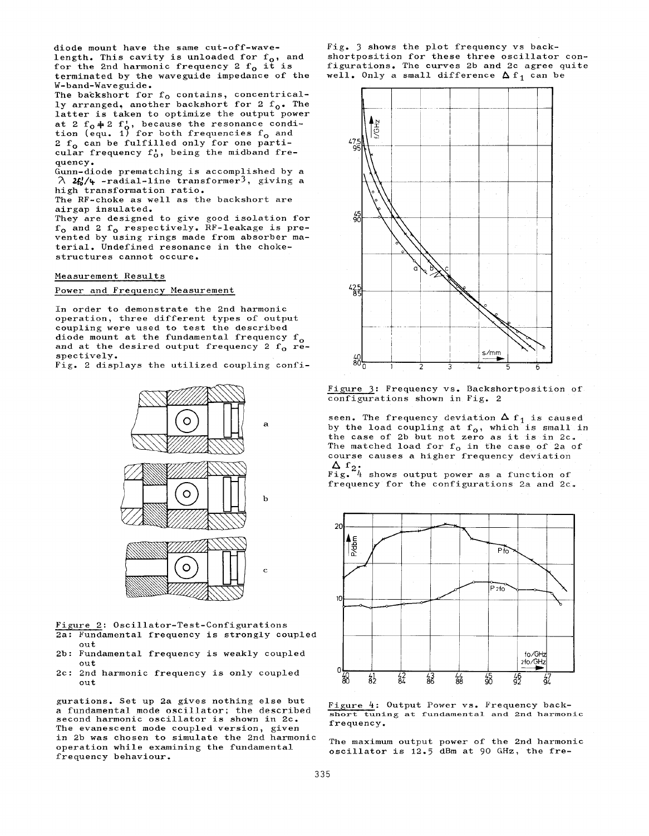diode mount have the same cut-off-wavelength. This cavity is unloaded for  ${\rm f_o},$  an for the 2nd harmonic frequency 2  $t_{\rm o}$  it is terminated by the waveguide impedance of the W-band-Waveguide. The backshort for  $\rm f_{O}$  contains, concent ly arranged, another backshort for 2  ${\rm f}_\alpha$ . Th latter is taken to optimize the output power at 2  $f_0$  $\neq$  2  $f_0'$ , because the resonance con tion (equ. 1) for both frequencies f<sub>o</sub> an 2  $f_0$  can be fulfilled only for one particular frequency  $f_0^*$ , being the midband frequency. Gunn-diode prematching is accomplished by a  $\lambda$  2f/4 -radial-line transformer<sup>3</sup>, giving a high transformation ratio. The RF-choke as well as the backshort are airgap insulated.

They are designed to give good isolation for  $f_0$  and 2  $f_0$  respectively. RF-leakage is prevented by using rings made from absorber material. Undefined resonance in the chokestructures cannot occure.

Measurement Results

Power and Frequency Measurement

In order to demonstrate the 2nd harmonic operation, three different types of output coupling were used to test the described diode mount at the fundamental frequency  $f_{o}$ and at the desired output frequency 2  $f_0$  respectively.

Fig. 2 displays the utilized coupling confi-



Figure 2: Oscillator-Test-Configurations 2a: Fundamental frequency is strongly coupled out

- 2b: Fundamental frequency is weakly coupled out
- 2C : 2nd harmonic frequency is only coupled out

gurations. Set up 2a gives nothing else but a fundamental mode oscillator; the described second harmonic oscillator is shown in 2c. The evanescent mode coupled version, given in 2b was chosen to simulate the 2nd harmonic operation while examining the fundamental frequency behaviour.

Fig. 3 shows the plot frequency vs backshortposition for these three oscillator configurations. The curves 2b and 2C agree quite well. Only a small difference  $\Delta f_1$  can be



Figure 3: Frequency vs. Backshortposition of configurations shown in Fig. 2

seen. The frequency deviation  $\Delta f_1$  is caused by the load coupling at  $f_0$ , which is small in the case of 2b but not zero as it is in 2c. The matched load for  $f_0$  in the case of 2a of course causes a higher frequency deviation

 $\Delta$  1<sub>2</sub>.<br>Fig. 4 shows output power as a function of frequency for the configurations 2a and 2c.



Figure 4: Output Power vs. Frequency backshort tuning at fundamental and 2nd harmonic frequency.

The maximum output power of the 2nd harmonic oscillator is 12.5 dBm at 90 GHz, the fre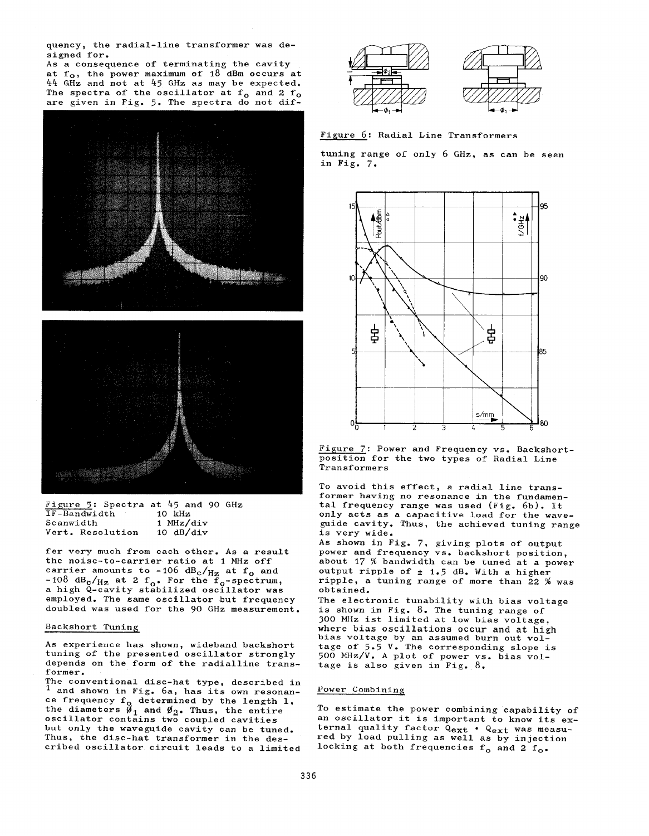quency, the radial-line transformer was designed for.

As a consequence of terminating the cavity at  $f_0$ , the power maximum of 18 dBm occurs at 44 GHz and not at 45 GHz as may be expected. The spectra of the oscillator at  $f_0$  and 2  $f_0$ are given in Fig. 5. The spectra do not dif-





 $\frac{Figure 5}{IF-Bandwidth}$  Spectra at 45 and 90 GHz IF-Bandwidth 10 kHz<br>Scanwidth 1 MHz/div Scanwidth 1 MHz/div<br>Vert. Resolution 10 dB/div Vert. Resolution

fer very much from each other. As a result the noise-to-carrier ratio at 1 MHz off carrier amounts to -106  $dB_c/H_z$  at  $f_o$  and -108 dB<sub>c</sub>/<sub>Hz</sub> at 2 f<sub>o</sub>. For the  $\tilde{f}_o$ -spectrum, a high Q-cavity stabilized oscillator was employed. The same oscillator but frequency doubled was used for the 90 GHz measurement.

## Backshort Tuning

As experience has shown, wideband backshort tuning of the presented oscillator strongly depends on the form of the radialline transformer.

The conventional disc-hat type, described in and shown in Fig. 6a, has its own resonance frequency f<sub>o</sub> determined by the length l the diameters  $\varnothing_1$  and  $\varnothing_2$ . Thus, the ent oscillator contains two coupled cavities but only the waveguide cavity can be tuned. Thus, the disc-hat transformer in the described oscillator circuit leads to a limited



Figure 6: Radial Line Transformers

tuning range of only 6 GHz, as can be seen in Fig. 7.



Figure 7: Power and Frequency vs. Backshortposition for the two types of Radial Line Transformers

To avoid this effect, a radial line transformer having no resonance in the fundamental frequency range was used (Fig. 6b). It only acts as a capacitive load for the waveguide cavity. Thus, the achieved tuning range is very wide.

AS shown in Fig. 7, giving plots of output power and frequency vs. backshort position, about 17 % bandwidth can be tuned at a power output ripple of  $\pm$  1.5 dB. With a higher ripple, a tuning range of more than 22 % was obtained.

The electronic tunability with bias voltage is shown in Fig. 8. The tuning range of 300 MHz ist limited at low bias voltage, where bias oscillations occur and at high bias voltage by an assumed burn out voltage of 5.5 V. The corresponding slope i 500 MHz/V. A plot of power vs. bias voltage is also given in Fig. 8.

### Power Combining

To estimate the power combining capability of an oscillator it is important to know its external quality factor Qext . Qext was measured by load pulling as well as by injection locking at both frequencies  $f_o$  and 2  $f_o$ .